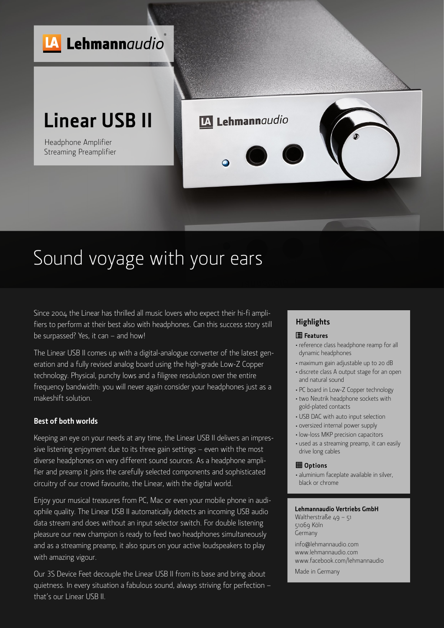

# Sound voyage with your ears

Since 2004 the Linear has thrilled all music lovers who expect their hi-fi amplifiers to perform at their best also with headphones. Can this success story still be surpassed? Yes, it can – and how!

The Linear USB II comes up with a digital-analogue converter of the latest generation and a fully revised analog board using the high-grade Low-Z Copper technology. Physical, punchy lows and a filigree resolution over the entire frequency bandwidth: you will never again consider your headphones just as a makeshift solution.

#### **Best of both worlds**

Keeping an eye on your needs at any time, the Linear USB II delivers an impressive listening enjoyment due to its three gain settings – even with the most diverse headphones on very different sound sources. As a headphone amplifier and preamp it joins the carefully selected components and sophisticated circuitry of our crowd favourite, the Linear, with the digital world.

Enjoy your musical treasures from PC, Mac or even your mobile phone in audiophile quality. The Linear USB II automatically detects an incoming USB audio data stream and does without an input selector switch. For double listening pleasure our new champion is ready to feed two headphones simultaneously and as a streaming preamp, it also spurs on your active loudspeakers to play with amazing vigour.

Our 3S Device Feet decouple the Linear USB II from its base and bring about quietness. In every situation a fabulous sound, always striving for perfection – that's our Linear USB II.

### **Highlights**

#### **Features**

- <sup>≠</sup> reference class headphone reamp for all dynamic headphones
- <sup>≠</sup> maximum gain adjustable up to 20 dB
- <sup>≠</sup> discrete class A output stage for an open and natural sound
- <sup>≠</sup> PC board in Low-Z Copper technology
- <sup>≠</sup> two Neutrik headphone sockets with gold-plated contacts
- <sup>≠</sup> USB DAC with auto input selection
- <sup>≠</sup> oversized internal power supply
- <sup>≠</sup> low-loss MKP precision capacitors
- <sup>≠</sup> used as a streaming preamp, it can easily drive long cables

#### **Options**

<sup>≠</sup> aluminium faceplate available in silver, black or chrome

#### **Lehmannaudio Vertriebs GmbH**

Waltherstraße 49 – 51 51069 Köln Germany

info@lehmannaudio.com www.lehmannaudio.com www.facebook.com/lehmannaudio

Made in Germany